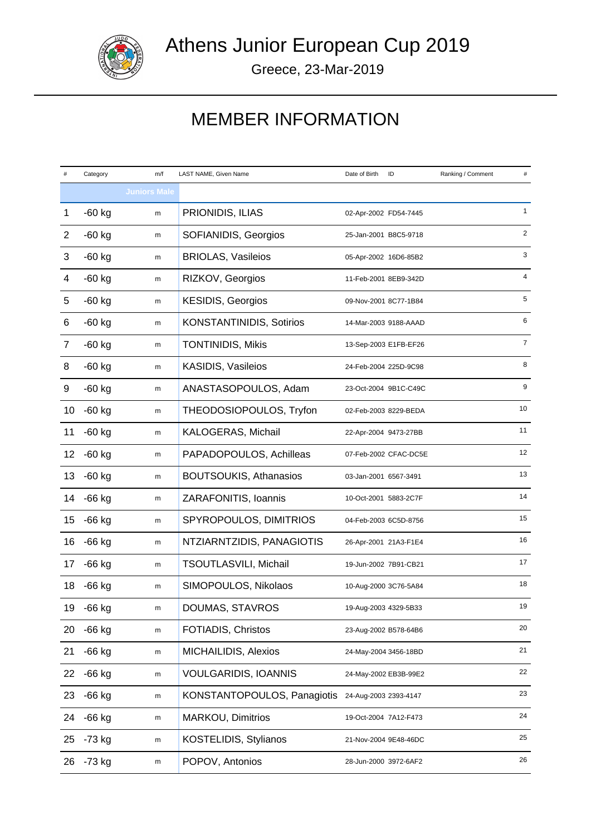Athens Junior European Cup 2019



Greece, 23-Mar-2019

## MEMBER INFORMATION

| #              | Category | m/f                 | LAST NAME, Given Name           | Date of Birth         | ID                    | Ranking / Comment | #              |
|----------------|----------|---------------------|---------------------------------|-----------------------|-----------------------|-------------------|----------------|
|                |          | <b>Juniors Male</b> |                                 |                       |                       |                   |                |
| 1              | $-60$ kg | m                   | PRIONIDIS, ILIAS                | 02-Apr-2002 FD54-7445 |                       |                   | $\mathbf{1}$   |
| $\overline{2}$ | $-60$ kg | m                   | SOFIANIDIS, Georgios            |                       | 25-Jan-2001 B8C5-9718 |                   | $\overline{2}$ |
| 3              | $-60$ kg | m                   | <b>BRIOLAS, Vasileios</b>       |                       | 05-Apr-2002 16D6-85B2 |                   | 3              |
| 4              | $-60$ kg | m                   | RIZKOV, Georgios                |                       | 11-Feb-2001 8EB9-342D |                   | $\overline{4}$ |
| 5              | $-60$ kg | m                   | KESIDIS, Georgios               | 09-Nov-2001 8C77-1B84 |                       |                   | 5              |
| 6              | $-60$ kg | m                   | <b>KONSTANTINIDIS, Sotirios</b> |                       | 14-Mar-2003 9188-AAAD |                   | 6              |
| $\overline{7}$ | $-60$ kg | m                   | <b>TONTINIDIS, Mikis</b>        |                       | 13-Sep-2003 E1FB-EF26 |                   | $\overline{7}$ |
| 8              | $-60$ kg | m                   | KASIDIS, Vasileios              |                       | 24-Feb-2004 225D-9C98 |                   | 8              |
| 9              | $-60$ kg | m                   | ANASTASOPOULOS, Adam            |                       | 23-Oct-2004 9B1C-C49C |                   | 9              |
| 10             | $-60$ kg | m                   | THEODOSIOPOULOS, Tryfon         |                       | 02-Feb-2003 8229-BEDA |                   | 10             |
| 11             | $-60$ kg | m                   | KALOGERAS, Michail              | 22-Apr-2004 9473-27BB |                       |                   | 11             |
| 12             | $-60$ kg | m                   | PAPADOPOULOS, Achilleas         |                       | 07-Feb-2002 CFAC-DC5E |                   | 12             |
| 13             | $-60$ kg | m                   | <b>BOUTSOUKIS, Athanasios</b>   | 03-Jan-2001 6567-3491 |                       |                   | 13             |
| 14             | $-66$ kg | m                   | ZARAFONITIS, Ioannis            | 10-Oct-2001 5883-2C7F |                       |                   | 14             |
| 15             | $-66$ kg | m                   | SPYROPOULOS, DIMITRIOS          |                       | 04-Feb-2003 6C5D-8756 |                   | 15             |
| 16             | $-66$ kg | m                   | NTZIARNTZIDIS, PANAGIOTIS       | 26-Apr-2001 21A3-F1E4 |                       |                   | 16             |
| 17             | $-66$ kg | m                   | TSOUTLASVILI, Michail           |                       | 19-Jun-2002 7B91-CB21 |                   | 17             |
| 18             | $-66$ kg | m                   | SIMOPOULOS, Nikolaos            |                       | 10-Aug-2000 3C76-5A84 |                   | 18             |
| 19             | $-66$ kg | m                   | DOUMAS, STAVROS                 | 19-Aug-2003 4329-5B33 |                       |                   | 19             |
| 20             | $-66$ kg | m                   | FOTIADIS, Christos              | 23-Aug-2002 B578-64B6 |                       |                   | 20             |
| 21             | -66 kg   | m                   | MICHAILIDIS, Alexios            |                       | 24-May-2004 3456-18BD |                   | 21             |
| 22             | $-66$ kg | m                   | <b>VOULGARIDIS, IOANNIS</b>     |                       | 24-May-2002 EB3B-99E2 |                   | 22             |
| 23             | $-66$ kg | m                   | KONSTANTOPOULOS, Panagiotis     | 24-Aug-2003 2393-4147 |                       |                   | 23             |
| 24             | $-66$ kg | m                   | MARKOU, Dimitrios               | 19-Oct-2004 7A12-F473 |                       |                   | 24             |
| 25             | $-73$ kg | m                   | KOSTELIDIS, Stylianos           |                       | 21-Nov-2004 9E48-46DC |                   | 25             |
| 26             | -73 kg   | m                   | POPOV, Antonios                 | 28-Jun-2000 3972-6AF2 |                       |                   | 26             |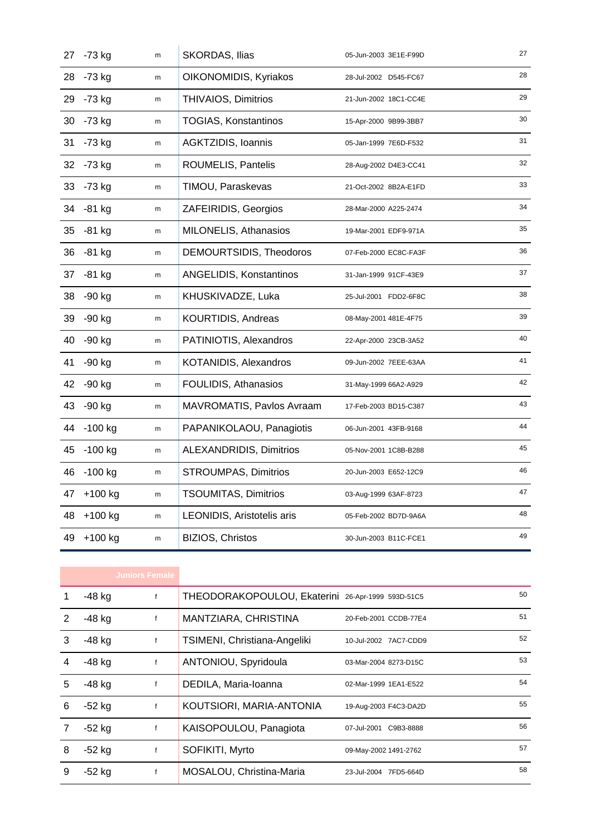| 27 | $-73$ kg  | m         | SKORDAS, Ilias                 | 05-Jun-2003 3E1E-F99D | 27 |
|----|-----------|-----------|--------------------------------|-----------------------|----|
| 28 | -73 kg    | m         | OIKONOMIDIS, Kyriakos          | 28-Jul-2002 D545-FC67 | 28 |
| 29 | $-73$ kg  | m         | THIVAIOS, Dimitrios            | 21-Jun-2002 18C1-CC4E | 29 |
| 30 | $-73$ kg  | m         | <b>TOGIAS, Konstantinos</b>    | 15-Apr-2000 9B99-3BB7 | 30 |
| 31 | $-73$ kg  | m         | AGKTZIDIS, Ioannis             | 05-Jan-1999 7E6D-F532 | 31 |
| 32 | -73 kg    | m         | ROUMELIS, Pantelis             | 28-Aug-2002 D4E3-CC41 | 32 |
| 33 | -73 kg    | m         | TIMOU, Paraskevas              | 21-Oct-2002 8B2A-E1FD | 33 |
| 34 | $-81$ kg  | m         | ZAFEIRIDIS, Georgios           | 28-Mar-2000 A225-2474 | 34 |
| 35 | $-81$ kg  | m         | MILONELIS, Athanasios          | 19-Mar-2001 EDF9-971A | 35 |
| 36 | $-81$ kg  | m         | DEMOURTSIDIS, Theodoros        | 07-Feb-2000 EC8C-FA3F | 36 |
| 37 | $-81$ kg  | m         | ANGELIDIS, Konstantinos        | 31-Jan-1999 91CF-43E9 | 37 |
| 38 | $-90$ kg  | m         | KHUSKIVADZE, Luka              | 25-Jul-2001 FDD2-6F8C | 38 |
| 39 | $-90$ kg  | m         | KOURTIDIS, Andreas             | 08-May-2001 481E-4F75 | 39 |
| 40 | $-90$ kg  | m         | PATINIOTIS, Alexandros         | 22-Apr-2000 23CB-3A52 | 40 |
| 41 | $-90$ kg  | m         | KOTANIDIS, Alexandros          | 09-Jun-2002 7EEE-63AA | 41 |
| 42 | $-90$ kg  | m         | FOULIDIS, Athanasios           | 31-May-1999 66A2-A929 | 42 |
| 43 | $-90$ kg  | m         | MAVROMATIS, Pavlos Avraam      | 17-Feb-2003 BD15-C387 | 43 |
| 44 | -100 kg   | ${\sf m}$ | PAPANIKOLAOU, Panagiotis       | 06-Jun-2001 43FB-9168 | 44 |
| 45 | -100 kg   | m         | <b>ALEXANDRIDIS, Dimitrios</b> | 05-Nov-2001 1C8B-B288 | 45 |
| 46 | $-100$ kg | m         | <b>STROUMPAS, Dimitrios</b>    | 20-Jun-2003 E652-12C9 | 46 |
| 47 | $+100$ kg | m         | <b>TSOUMITAS, Dimitrios</b>    | 03-Aug-1999 63AF-8723 | 47 |
| 48 | $+100$ kg | ${\sf m}$ | LEONIDIS, Aristotelis aris     | 05-Feb-2002 BD7D-9A6A | 48 |
| 49 | +100 kg   | m         | BIZIOS, Christos               | 30-Jun-2003 B11C-FCE1 | 49 |

|   |          | <b>Juniors Female</b> |                                                   |                          |    |
|---|----------|-----------------------|---------------------------------------------------|--------------------------|----|
|   | $-48$ kg | $\mathsf{f}$          | THEODORAKOPOULOU, Ekaterini 26-Apr-1999 593D-51C5 |                          | 50 |
| 2 | $-48$ kg | $\mathsf{f}$          | MANTZIARA, CHRISTINA                              | 20-Feb-2001 CCDB-77E4    | 51 |
| 3 | $-48$ kg | $\mathsf{f}$          | TSIMENI, Christiana-Angeliki                      | 10-Jul-2002 7AC7-CDD9    | 52 |
|   | $-48$ kg | $\mathsf{f}$          | ANTONIOU, Spyridoula                              | 03-Mar-2004 8273-D15C    | 53 |
| 5 | $-48$ kg | $\mathsf{f}$          | DEDILA, Maria-Ioanna                              | 02-Mar-1999 1EA1-E522    | 54 |
| 6 | $-52$ kg | $\mathsf{f}$          | KOUTSIORI, MARIA-ANTONIA                          | 19-Aug-2003 F4C3-DA2D    | 55 |
|   | $-52$ kg | $\mathsf{f}$          | KAISOPOULOU, Panagiota                            | 07-Jul-2001<br>C9B3-8888 | 56 |
| 8 | $-52$ kg | $\mathsf{f}$          | SOFIKITI, Myrto                                   | 09-May-2002 1491-2762    | 57 |
| 9 | $-52$ kg | $\mathsf{f}$          | MOSALOU, Christina-Maria                          | 23-Jul-2004 7FD5-664D    | 58 |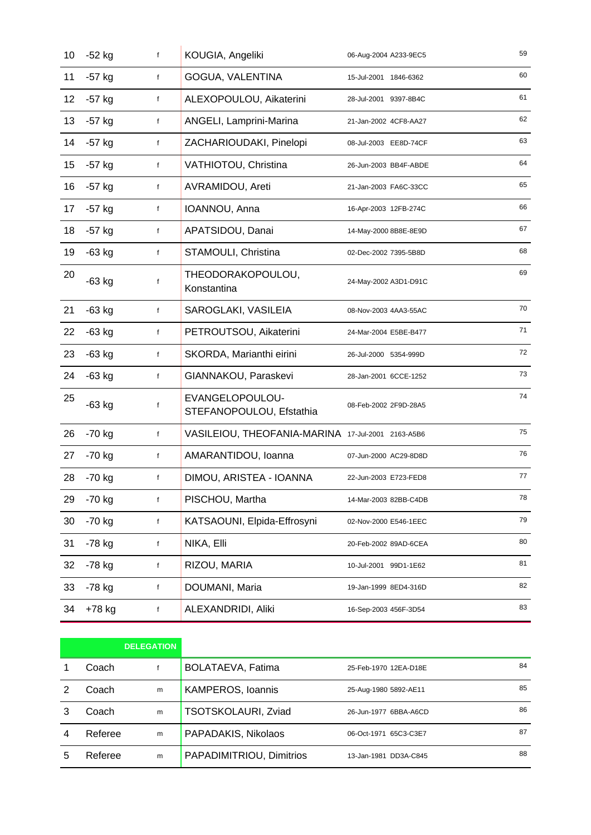| 10 | $-52$ kg | f           | KOUGIA, Angeliki                                  | 06-Aug-2004 A233-9EC5 | 59 |
|----|----------|-------------|---------------------------------------------------|-----------------------|----|
| 11 | $-57$ kg | f           | GOGUA, VALENTINA                                  | 15-Jul-2001 1846-6362 | 60 |
| 12 | $-57$ kg | f           | ALEXOPOULOU, Aikaterini                           | 28-Jul-2001 9397-8B4C | 61 |
| 13 | -57 kg   | f           | ANGELI, Lamprini-Marina                           | 21-Jan-2002 4CF8-AA27 | 62 |
| 14 | $-57$ kg | f           | ZACHARIOUDAKI, Pinelopi                           | 08-Jul-2003 EE8D-74CF | 63 |
| 15 | $-57$ kg | f           | VATHIOTOU, Christina                              | 26-Jun-2003 BB4F-ABDE | 64 |
| 16 | $-57$ kg | f           | AVRAMIDOU, Areti                                  | 21-Jan-2003 FA6C-33CC | 65 |
| 17 | $-57$ kg | f           | IOANNOU, Anna                                     | 16-Apr-2003 12FB-274C | 66 |
| 18 | $-57$ kg | f           | APATSIDOU, Danai                                  | 14-May-2000 8B8E-8E9D | 67 |
| 19 | $-63$ kg | f           | STAMOULI, Christina                               | 02-Dec-2002 7395-5B8D | 68 |
| 20 | $-63$ kg | f           | THEODORAKOPOULOU,<br>Konstantina                  | 24-May-2002 A3D1-D91C | 69 |
| 21 | $-63$ kg | f           | SAROGLAKI, VASILEIA                               | 08-Nov-2003 4AA3-55AC | 70 |
| 22 | $-63$ kg | f           | PETROUTSOU, Aikaterini                            | 24-Mar-2004 E5BE-B477 | 71 |
| 23 | $-63$ kg | f           | SKORDA, Marianthi eirini                          | 26-Jul-2000 5354-999D | 72 |
| 24 | $-63$ kg | f           | GIANNAKOU, Paraskevi                              | 28-Jan-2001 6CCE-1252 | 73 |
| 25 | $-63$ kg | f           | EVANGELOPOULOU-<br>STEFANOPOULOU, Efstathia       | 08-Feb-2002 2F9D-28A5 | 74 |
| 26 | $-70$ kg | f           | VASILEIOU, THEOFANIA-MARINA 17-Jul-2001 2163-A5B6 |                       | 75 |
| 27 | $-70$ kg | f           | AMARANTIDOU, Ioanna                               | 07-Jun-2000 AC29-8D8D | 76 |
| 28 | $-70$ kg | f           | DIMOU, ARISTEA - IOANNA                           | 22-Jun-2003 E723-FED8 | 77 |
| 29 | $-70$ kg | $\mathsf f$ | PISCHOU, Martha                                   | 14-Mar-2003 82BB-C4DB | 78 |
| 30 | $-70$ kg | f           | KATSAOUNI, Elpida-Effrosyni                       | 02-Nov-2000 E546-1EEC | 79 |
| 31 | -78 kg   | f           | NIKA, Elli                                        | 20-Feb-2002 89AD-6CEA | 80 |
| 32 | $-78$ kg | f           | RIZOU, MARIA                                      | 10-Jul-2001 99D1-1E62 | 81 |
| 33 | -78 kg   | f           | DOUMANI, Maria                                    | 19-Jan-1999 8ED4-316D | 82 |
| 34 | +78 kg   | f           | ALEXANDRIDI, Aliki                                | 16-Sep-2003 456F-3D54 | 83 |

|   |         | <b>DELEGATION</b> |                          |                       |    |
|---|---------|-------------------|--------------------------|-----------------------|----|
|   | Coach   |                   | BOLATAEVA, Fatima        | 25-Feb-1970 12EA-D18E | 84 |
|   | Coach   | m                 | <b>KAMPEROS, Ioannis</b> | 25-Aug-1980 5892-AE11 | 85 |
|   | Coach   | m                 | TSOTSKOLAURI, Zviad      | 26-Jun-1977 6BBA-A6CD | 86 |
|   | Referee | m                 | PAPADAKIS, Nikolaos      | 06-Oct-1971 65C3-C3E7 | 87 |
| 5 | Referee | m                 | PAPADIMITRIOU, Dimitrios | 13-Jan-1981 DD3A-C845 | 88 |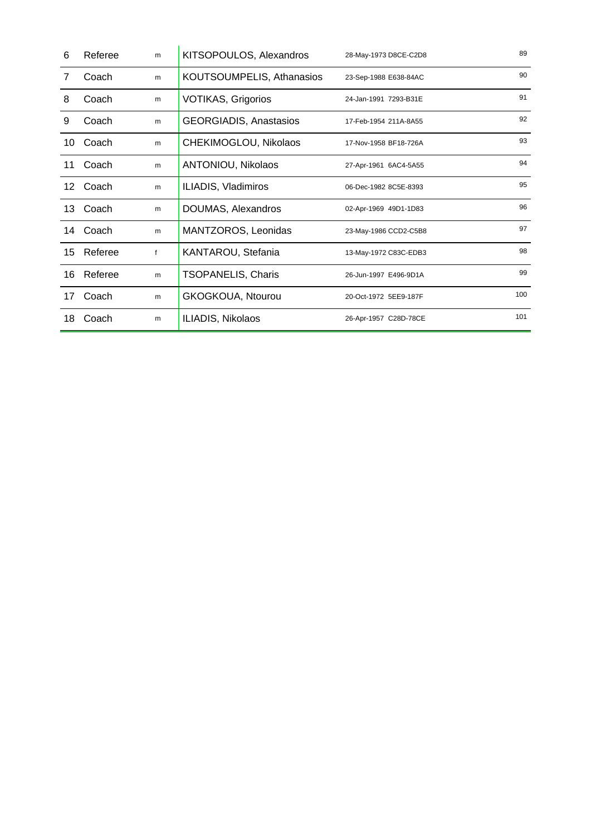| 6               | Referee  | m            | KITSOPOULOS, Alexandros       | 28-May-1973 D8CE-C2D8 | 89  |
|-----------------|----------|--------------|-------------------------------|-----------------------|-----|
| 7               | Coach    | m            | KOUTSOUMPELIS, Athanasios     | 23-Sep-1988 E638-84AC | 90  |
| 8               | Coach    | m            | <b>VOTIKAS, Grigorios</b>     | 24-Jan-1991 7293-B31E | 91  |
| 9               | Coach    | m            | <b>GEORGIADIS, Anastasios</b> | 17-Feb-1954 211A-8A55 | 92  |
| 10              | Coach    | m            | CHEKIMOGLOU, Nikolaos         | 17-Nov-1958 BF18-726A | 93  |
| 11              | Coach    | m            | <b>ANTONIOU, Nikolaos</b>     | 27-Apr-1961 6AC4-5A55 | 94  |
| 12 <sup>°</sup> | Coach    | m            | ILIADIS, Vladimiros           | 06-Dec-1982 8C5E-8393 | 95  |
| 13              | Coach    | m            | DOUMAS, Alexandros            | 02-Apr-1969 49D1-1D83 | 96  |
|                 | 14 Coach | m            | MANTZOROS, Leonidas           | 23-May-1986 CCD2-C5B8 | 97  |
| 15              | Referee  | $\mathsf{f}$ | KANTAROU, Stefania            | 13-May-1972 C83C-EDB3 | 98  |
| 16              | Referee  | m            | <b>TSOPANELIS, Charis</b>     | 26-Jun-1997 E496-9D1A | 99  |
| 17              | Coach    | m            | GKOGKOUA, Ntourou             | 20-Oct-1972 5EE9-187F | 100 |
| 18              | Coach    | m            | ILIADIS, Nikolaos             | 26-Apr-1957 C28D-78CE | 101 |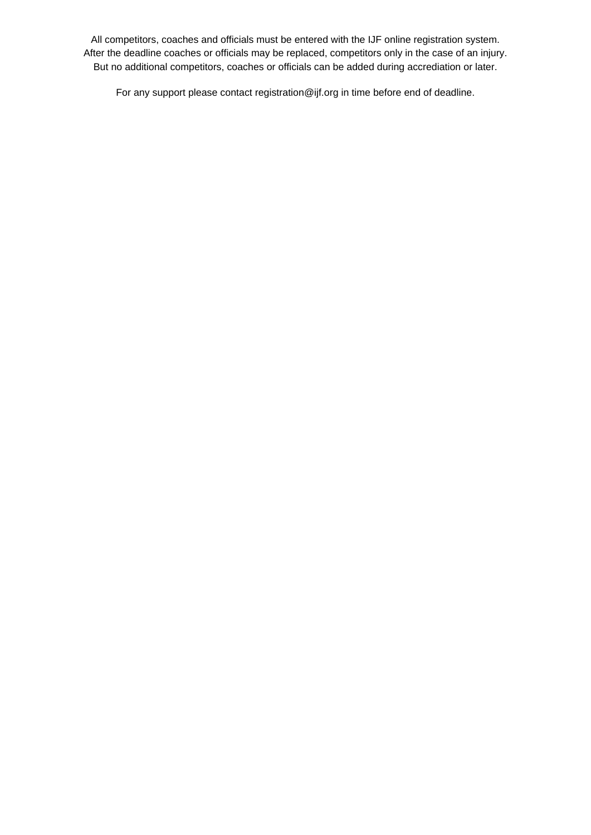All competitors, coaches and officials must be entered with the IJF online registration system. After the deadline coaches or officials may be replaced, competitors only in the case of an injury. But no additional competitors, coaches or officials can be added during accrediation or later.

For any support please contact registration@ijf.org in time before end of deadline.